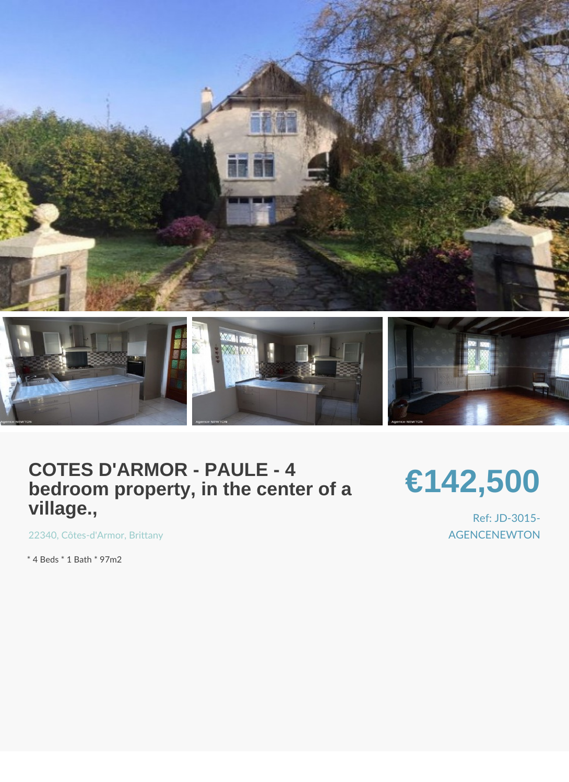#### COTES D'ARMOR - PAULE - 4 bedroom property, in the center of a village.,

# €142,500

Ref: JD-3015- **AGENCENEWTO** 

 $2234$ ,  $00$  ôtes-d'A[, Britta](https://www.frenchentree.com/property-for-sale/property-for-sale-france/brittany)ny

\* 4 Beds \* 1 Bath \* 97m2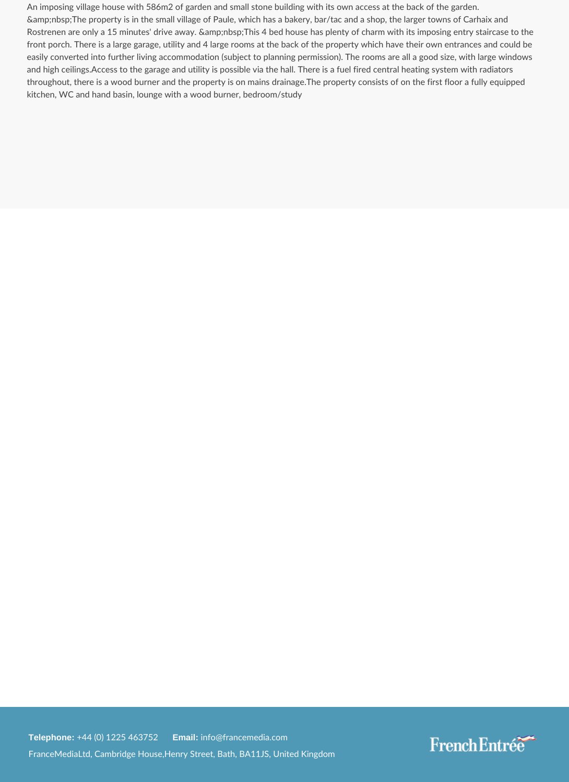An imposing village house with 586m2 of garden and small stone building with its own access at the back of the garden. The property is in the small village of Paule, which has a bakery, bar/tac and a shop, the larger towns of Carhaix and Rostrenen are only a 15 minutes' drive away. This 4 bed house has plenty of charm with its imposing entry staircase to the front porch. There is a large garage, utility and 4 large rooms at the back of the property which have their own entrances and could be easily converted into further living accommodation (subject to planning permission). The rooms are all a good size, with large windows and high ceilings.Access to the garage and utility is possible via the hall. There is a fuel fired central heating system with radiators throughout, there is a wood burner and the property is on mains drainage.The property consists of on the first floor a fully equipped kitchen, WC and hand basin, lounge with a wood burner, bedroom/study

**Telephone:** +44 (0) 1225 463752 **Email:** info@francemedia.com FranceMediaLtd, Cambridge House,Henry Street, Bath, BA11JS, United Kingdom

## French Entrée